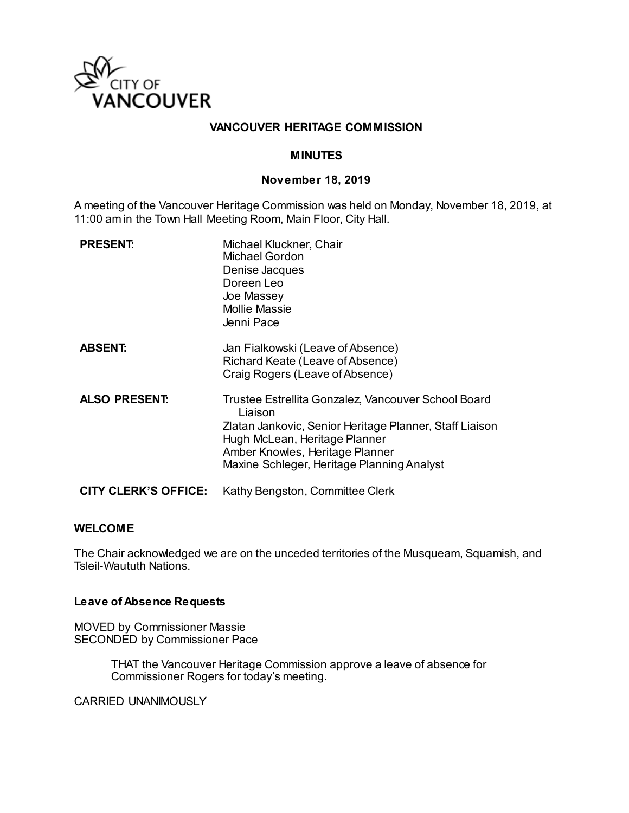

### **VANCOUVER HERITAGE COMMISSION**

### **MINUTES**

#### **November 18, 2019**

A meeting of the Vancouver Heritage Commission was held on Monday, November 18, 2019, at 11:00 am in the Town Hall Meeting Room, Main Floor, City Hall.

| <b>PRESENT:</b>      | Michael Kluckner, Chair<br>Michael Gordon<br>Denise Jacques<br>Doreen Leo<br>Joe Massey<br><b>Mollie Massie</b><br>Jenni Pace                                                                                                               |
|----------------------|---------------------------------------------------------------------------------------------------------------------------------------------------------------------------------------------------------------------------------------------|
| <b>ABSENT:</b>       | Jan Fialkowski (Leave of Absence)<br>Richard Keate (Leave of Absence)<br>Craig Rogers (Leave of Absence)                                                                                                                                    |
| <b>ALSO PRESENT:</b> | Trustee Estrellita Gonzalez, Vancouver School Board<br>Liaison<br>Zlatan Jankovic, Senior Heritage Planner, Staff Liaison<br>Hugh McLean, Heritage Planner<br>Amber Knowles, Heritage Planner<br>Maxine Schleger, Heritage Planning Analyst |
| CITY CLERK'S OFFICE: | Kathy Bengston, Committee Clerk                                                                                                                                                                                                             |

#### **WELCOME**

The Chair acknowledged we are on the unceded territories of the Musqueam, Squamish, and Tsleil-Waututh Nations.

### **Leave of Absence Requests**

MOVED by Commissioner Massie SECONDED by Commissioner Pace

> THAT the Vancouver Heritage Commission approve a leave of absence for Commissioner Rogers for today's meeting.

CARRIED UNANIMOUSLY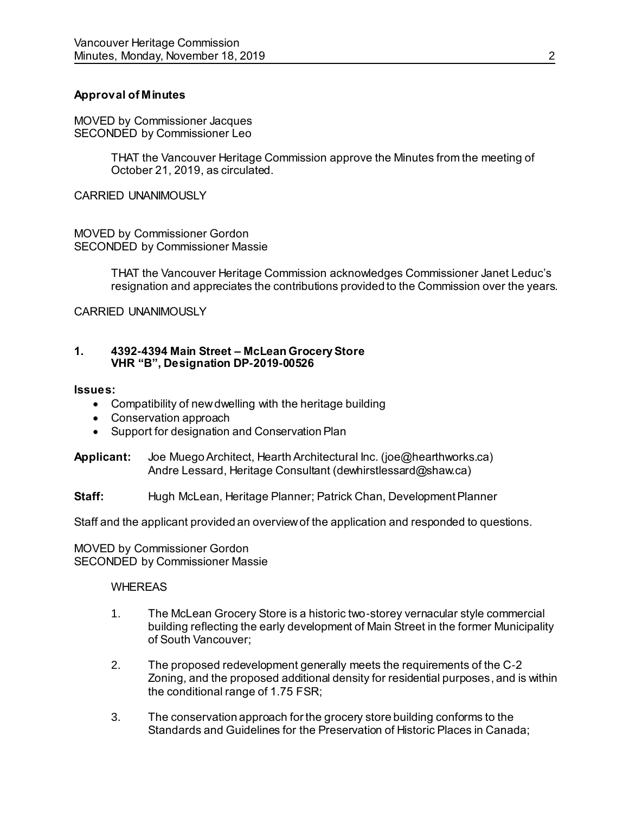### **Approval of Minutes**

MOVED by Commissioner Jacques SECONDED by Commissioner Leo

> THAT the Vancouver Heritage Commission approve the Minutes from the meeting of October 21, 2019, as circulated.

CARRIED UNANIMOUSLY

MOVED by Commissioner Gordon SECONDED by Commissioner Massie

> THAT the Vancouver Heritage Commission acknowledges Commissioner Janet Leduc's resignation and appreciates the contributions provided to the Commission over the years.

CARRIED UNANIMOUSLY

### **1. 4392-4394 Main Street – McLean Grocery Store VHR "B", Designation DP-2019-00526**

#### **Issues:**

- Compatibility of new dwelling with the heritage building
- Conservation approach
- Support for designation and Conservation Plan

**Applicant:** Joe Muego Architect, Hearth Architectural Inc. (joe@hearthworks.ca) Andre Lessard, Heritage Consultant (dewhirstlessard@shaw.ca)

**Staff:** Hugh McLean, Heritage Planner; Patrick Chan, Development Planner

Staff and the applicant provided an overview of the application and responded to questions.

MOVED by Commissioner Gordon SECONDED by Commissioner Massie

### WHEREAS

- 1. The McLean Grocery Store is a historic two-storey vernacular style commercial building reflecting the early development of Main Street in the former Municipality of South Vancouver;
- 2. The proposed redevelopment generally meets the requirements of the C-2 Zoning, and the proposed additional density for residential purposes, and is within the conditional range of 1.75 FSR;
- 3. The conservation approach for the grocery store building conforms to the Standards and Guidelines for the Preservation of Historic Places in Canada;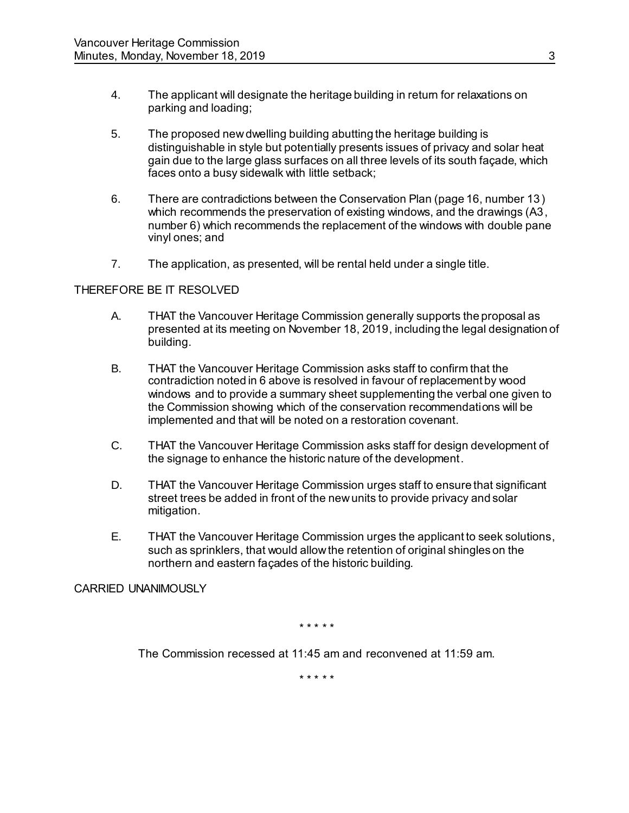- 4. The applicant will designate the heritage building in return for relaxations on parking and loading;
- 5. The proposed new dwelling building abutting the heritage building is distinguishable in style but potentially presents issues of privacy and solar heat gain due to the large glass surfaces on all three levels of its south façade, which faces onto a busy sidewalk with little setback;
- 6. There are contradictions between the Conservation Plan (page 16, number 13) which recommends the preservation of existing windows, and the drawings (A3, number 6) which recommends the replacement of the windows with double pane vinyl ones; and
- 7. The application, as presented, will be rental held under a single title.

# THEREFORE BE IT RESOLVED

- A. THAT the Vancouver Heritage Commission generally supports the proposal as presented at its meeting on November 18, 2019, including the legal designation of building.
- B. THAT the Vancouver Heritage Commission asks staff to confirm that the contradiction noted in 6 above is resolved in favour of replacement by wood windows and to provide a summary sheet supplementing the verbal one given to the Commission showing which of the conservation recommendations will be implemented and that will be noted on a restoration covenant.
- C. THAT the Vancouver Heritage Commission asks staff for design development of the signage to enhance the historic nature of the development.
- D. THAT the Vancouver Heritage Commission urges staff to ensure that significant street trees be added in front of the new units to provide privacy and solar mitigation.
- E. THAT the Vancouver Heritage Commission urges the applicant to seek solutions, such as sprinklers, that would allow the retention of original shingles on the northern and eastern façades of the historic building.

CARRIED UNANIMOUSLY

#### \* \* \* \* \*

The Commission recessed at 11:45 am and reconvened at 11:59 am.

\* \* \* \* \*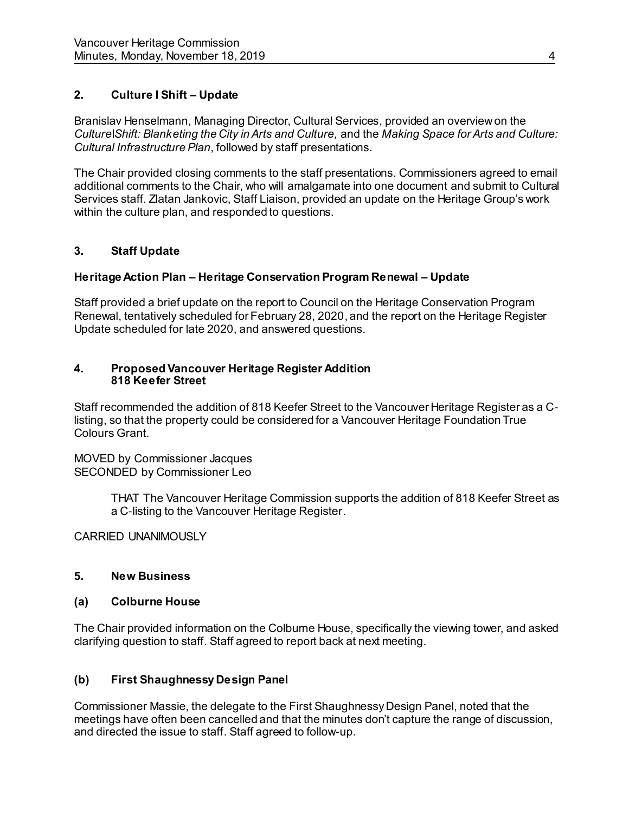# **2. Culture I Shift – Update**

Branislav Henselmann, Managing Director, Cultural Services, provided an overview on the *Culture*I*Shift: Blanketing the City in Arts and Culture,* and the *Making Space for Arts and Culture: Cultural Infrastructure Plan*, followed by staff presentations.

The Chair provided closing comments to the staff presentations. Commissioners agreed to email additional comments to the Chair, who will amalgamate into one document and submit to Cultural Services staff. Zlatan Jankovic, Staff Liaison, provided an update on the Heritage Group's work within the culture plan, and responded to questions.

# **3. Staff Update**

# **Heritage Action Plan – Heritage Conservation Program Renewal – Update**

Staff provided a brief update on the report to Council on the Heritage Conservation Program Renewal, tentatively scheduled for February 28, 2020, and the report on the Heritage Register Update scheduled for late 2020, and answered questions.

### **4. Proposed Vancouver Heritage Register Addition 818 Keefer Street**

Staff recommended the addition of 818 Keefer Street to the Vancouver Heritage Register as a Clisting, so that the property could be considered for a Vancouver Heritage Foundation True Colours Grant.

MOVED by Commissioner Jacques SECONDED by Commissioner Leo

> THAT The Vancouver Heritage Commission supports the addition of 818 Keefer Street as a C-listing to the Vancouver Heritage Register.

CARRIED UNANIMOUSLY

# **5. New Business**

# **(a) Colburne House**

The Chair provided information on the Colburne House, specifically the viewing tower, and asked clarifying question to staff. Staff agreed to report back at next meeting.

# **(b) First Shaughnessy Design Panel**

Commissioner Massie, the delegate to the First Shaughnessy Design Panel, noted that the meetings have often been cancelled and that the minutes don't capture the range of discussion, and directed the issue to staff. Staff agreed to follow-up.